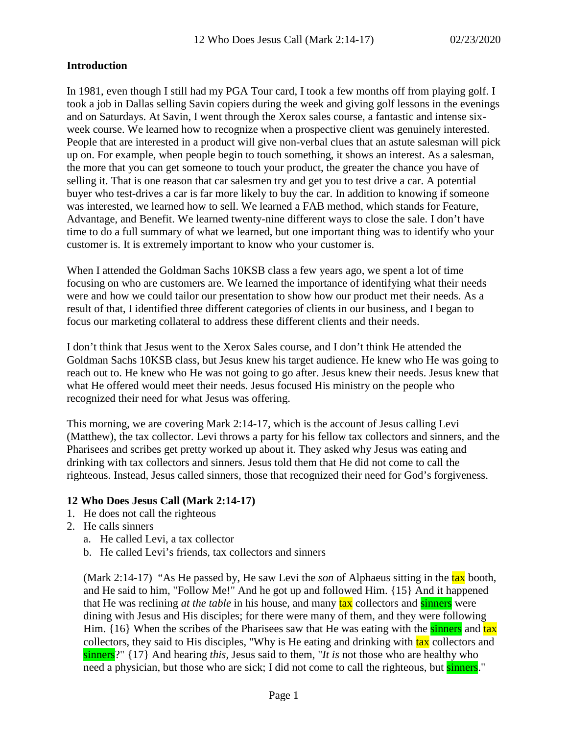# **Introduction**

In 1981, even though I still had my PGA Tour card, I took a few months off from playing golf. I took a job in Dallas selling Savin copiers during the week and giving golf lessons in the evenings and on Saturdays. At Savin, I went through the Xerox sales course, a fantastic and intense sixweek course. We learned how to recognize when a prospective client was genuinely interested. People that are interested in a product will give non-verbal clues that an astute salesman will pick up on. For example, when people begin to touch something, it shows an interest. As a salesman, the more that you can get someone to touch your product, the greater the chance you have of selling it. That is one reason that car salesmen try and get you to test drive a car. A potential buyer who test-drives a car is far more likely to buy the car. In addition to knowing if someone was interested, we learned how to sell. We learned a FAB method, which stands for Feature, Advantage, and Benefit. We learned twenty-nine different ways to close the sale. I don't have time to do a full summary of what we learned, but one important thing was to identify who your customer is. It is extremely important to know who your customer is.

When I attended the Goldman Sachs 10KSB class a few years ago, we spent a lot of time focusing on who are customers are. We learned the importance of identifying what their needs were and how we could tailor our presentation to show how our product met their needs. As a result of that, I identified three different categories of clients in our business, and I began to focus our marketing collateral to address these different clients and their needs.

I don't think that Jesus went to the Xerox Sales course, and I don't think He attended the Goldman Sachs 10KSB class, but Jesus knew his target audience. He knew who He was going to reach out to. He knew who He was not going to go after. Jesus knew their needs. Jesus knew that what He offered would meet their needs. Jesus focused His ministry on the people who recognized their need for what Jesus was offering.

This morning, we are covering Mark 2:14-17, which is the account of Jesus calling Levi (Matthew), the tax collector. Levi throws a party for his fellow tax collectors and sinners, and the Pharisees and scribes get pretty worked up about it. They asked why Jesus was eating and drinking with tax collectors and sinners. Jesus told them that He did not come to call the righteous. Instead, Jesus called sinners, those that recognized their need for God's forgiveness.

# **12 Who Does Jesus Call (Mark 2:14-17)**

- 1. He does not call the righteous
- 2. He calls sinners
	- a. He called Levi, a tax collector
	- b. He called Levi's friends, tax collectors and sinners

(Mark 2:14-17) "As He passed by, He saw Levi the *son* of Alphaeus sitting in the tax booth, and He said to him, "Follow Me!" And he got up and followed Him. {15} And it happened that He was reclining *at the table* in his house, and many **tax** collectors and **sinners** were dining with Jesus and His disciples; for there were many of them, and they were following Him. {16} When the scribes of the Pharisees saw that He was eating with the sinners and tax collectors, they said to His disciples, "Why is He eating and drinking with tax collectors and sinners?" {17} And hearing *this,* Jesus said to them, "*It is* not those who are healthy who need a physician, but those who are sick; I did not come to call the righteous, but sinners."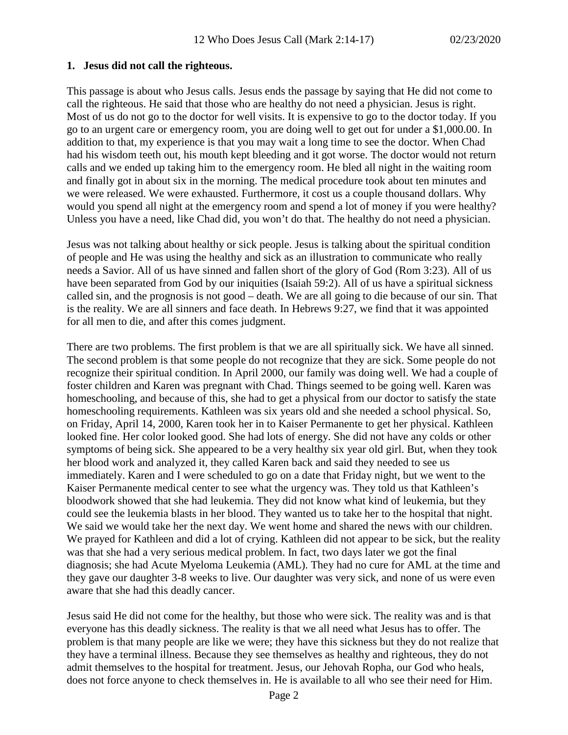#### **1. Jesus did not call the righteous.**

This passage is about who Jesus calls. Jesus ends the passage by saying that He did not come to call the righteous. He said that those who are healthy do not need a physician. Jesus is right. Most of us do not go to the doctor for well visits. It is expensive to go to the doctor today. If you go to an urgent care or emergency room, you are doing well to get out for under a \$1,000.00. In addition to that, my experience is that you may wait a long time to see the doctor. When Chad had his wisdom teeth out, his mouth kept bleeding and it got worse. The doctor would not return calls and we ended up taking him to the emergency room. He bled all night in the waiting room and finally got in about six in the morning. The medical procedure took about ten minutes and we were released. We were exhausted. Furthermore, it cost us a couple thousand dollars. Why would you spend all night at the emergency room and spend a lot of money if you were healthy? Unless you have a need, like Chad did, you won't do that. The healthy do not need a physician.

Jesus was not talking about healthy or sick people. Jesus is talking about the spiritual condition of people and He was using the healthy and sick as an illustration to communicate who really needs a Savior. All of us have sinned and fallen short of the glory of God (Rom 3:23). All of us have been separated from God by our iniquities (Isaiah 59:2). All of us have a spiritual sickness called sin, and the prognosis is not good – death. We are all going to die because of our sin. That is the reality. We are all sinners and face death. In Hebrews 9:27, we find that it was appointed for all men to die, and after this comes judgment.

There are two problems. The first problem is that we are all spiritually sick. We have all sinned. The second problem is that some people do not recognize that they are sick. Some people do not recognize their spiritual condition. In April 2000, our family was doing well. We had a couple of foster children and Karen was pregnant with Chad. Things seemed to be going well. Karen was homeschooling, and because of this, she had to get a physical from our doctor to satisfy the state homeschooling requirements. Kathleen was six years old and she needed a school physical. So, on Friday, April 14, 2000, Karen took her in to Kaiser Permanente to get her physical. Kathleen looked fine. Her color looked good. She had lots of energy. She did not have any colds or other symptoms of being sick. She appeared to be a very healthy six year old girl. But, when they took her blood work and analyzed it, they called Karen back and said they needed to see us immediately. Karen and I were scheduled to go on a date that Friday night, but we went to the Kaiser Permanente medical center to see what the urgency was. They told us that Kathleen's bloodwork showed that she had leukemia. They did not know what kind of leukemia, but they could see the leukemia blasts in her blood. They wanted us to take her to the hospital that night. We said we would take her the next day. We went home and shared the news with our children. We prayed for Kathleen and did a lot of crying. Kathleen did not appear to be sick, but the reality was that she had a very serious medical problem. In fact, two days later we got the final diagnosis; she had Acute Myeloma Leukemia (AML). They had no cure for AML at the time and they gave our daughter 3-8 weeks to live. Our daughter was very sick, and none of us were even aware that she had this deadly cancer.

Jesus said He did not come for the healthy, but those who were sick. The reality was and is that everyone has this deadly sickness. The reality is that we all need what Jesus has to offer. The problem is that many people are like we were; they have this sickness but they do not realize that they have a terminal illness. Because they see themselves as healthy and righteous, they do not admit themselves to the hospital for treatment. Jesus, our Jehovah Ropha, our God who heals, does not force anyone to check themselves in. He is available to all who see their need for Him.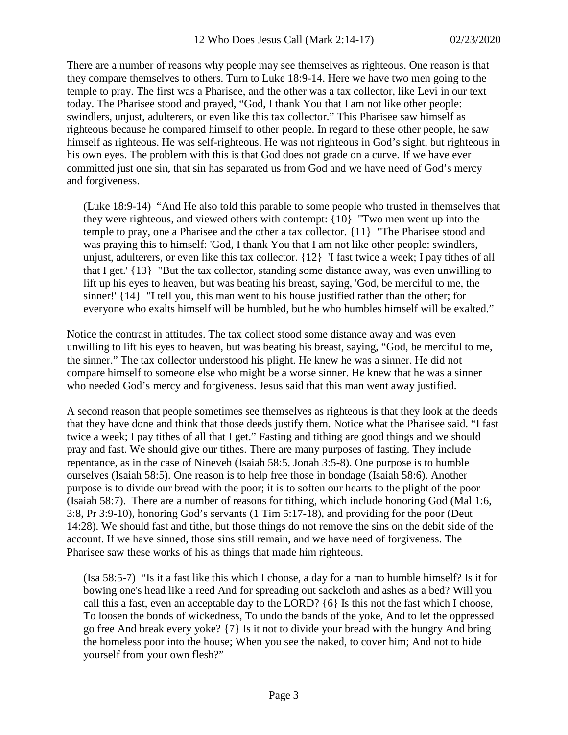There are a number of reasons why people may see themselves as righteous. One reason is that they compare themselves to others. Turn to Luke 18:9-14. Here we have two men going to the temple to pray. The first was a Pharisee, and the other was a tax collector, like Levi in our text today. The Pharisee stood and prayed, "God, I thank You that I am not like other people: swindlers, unjust, adulterers, or even like this tax collector." This Pharisee saw himself as righteous because he compared himself to other people. In regard to these other people, he saw himself as righteous. He was self-righteous. He was not righteous in God's sight, but righteous in his own eyes. The problem with this is that God does not grade on a curve. If we have ever committed just one sin, that sin has separated us from God and we have need of God's mercy and forgiveness.

(Luke 18:9-14) "And He also told this parable to some people who trusted in themselves that they were righteous, and viewed others with contempt: {10} "Two men went up into the temple to pray, one a Pharisee and the other a tax collector. {11} "The Pharisee stood and was praying this to himself: 'God, I thank You that I am not like other people: swindlers, unjust, adulterers, or even like this tax collector. {12} 'I fast twice a week; I pay tithes of all that I get.' {13} "But the tax collector, standing some distance away, was even unwilling to lift up his eyes to heaven, but was beating his breast, saying, 'God, be merciful to me, the sinner!' {14} "I tell you, this man went to his house justified rather than the other; for everyone who exalts himself will be humbled, but he who humbles himself will be exalted."

Notice the contrast in attitudes. The tax collect stood some distance away and was even unwilling to lift his eyes to heaven, but was beating his breast, saying, "God, be merciful to me, the sinner." The tax collector understood his plight. He knew he was a sinner. He did not compare himself to someone else who might be a worse sinner. He knew that he was a sinner who needed God's mercy and forgiveness. Jesus said that this man went away justified.

A second reason that people sometimes see themselves as righteous is that they look at the deeds that they have done and think that those deeds justify them. Notice what the Pharisee said. "I fast twice a week; I pay tithes of all that I get." Fasting and tithing are good things and we should pray and fast. We should give our tithes. There are many purposes of fasting. They include repentance, as in the case of Nineveh (Isaiah 58:5, Jonah 3:5-8). One purpose is to humble ourselves (Isaiah 58:5). One reason is to help free those in bondage (Isaiah 58:6). Another purpose is to divide our bread with the poor; it is to soften our hearts to the plight of the poor (Isaiah 58:7). There are a number of reasons for tithing, which include honoring God (Mal 1:6, 3:8, Pr 3:9-10), honoring God's servants (1 Tim 5:17-18), and providing for the poor (Deut 14:28). We should fast and tithe, but those things do not remove the sins on the debit side of the account. If we have sinned, those sins still remain, and we have need of forgiveness. The Pharisee saw these works of his as things that made him righteous.

(Isa 58:5-7) "Is it a fast like this which I choose, a day for a man to humble himself? Is it for bowing one's head like a reed And for spreading out sackcloth and ashes as a bed? Will you call this a fast, even an acceptable day to the LORD? {6} Is this not the fast which I choose, To loosen the bonds of wickedness, To undo the bands of the yoke, And to let the oppressed go free And break every yoke? {7} Is it not to divide your bread with the hungry And bring the homeless poor into the house; When you see the naked, to cover him; And not to hide yourself from your own flesh?"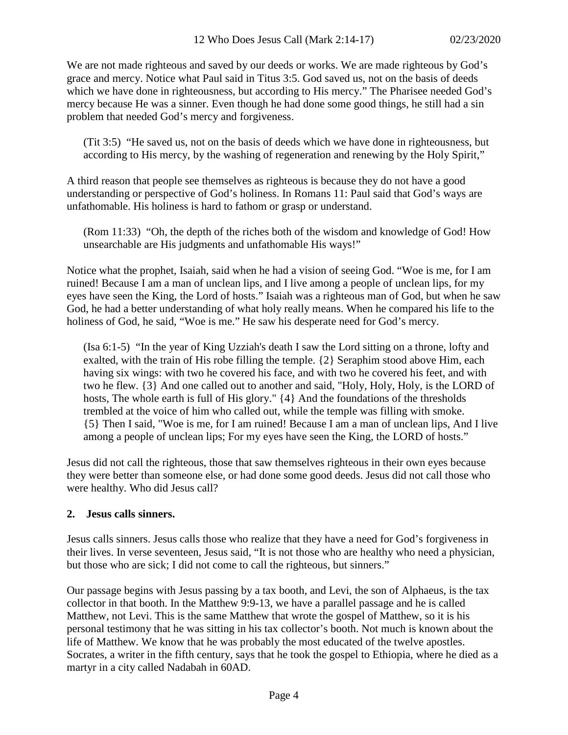We are not made righteous and saved by our deeds or works. We are made righteous by God's grace and mercy. Notice what Paul said in Titus 3:5. God saved us, not on the basis of deeds which we have done in righteousness, but according to His mercy." The Pharisee needed God's mercy because He was a sinner. Even though he had done some good things, he still had a sin problem that needed God's mercy and forgiveness.

(Tit 3:5) "He saved us, not on the basis of deeds which we have done in righteousness, but according to His mercy, by the washing of regeneration and renewing by the Holy Spirit,"

A third reason that people see themselves as righteous is because they do not have a good understanding or perspective of God's holiness. In Romans 11: Paul said that God's ways are unfathomable. His holiness is hard to fathom or grasp or understand.

(Rom 11:33) "Oh, the depth of the riches both of the wisdom and knowledge of God! How unsearchable are His judgments and unfathomable His ways!"

Notice what the prophet, Isaiah, said when he had a vision of seeing God. "Woe is me, for I am ruined! Because I am a man of unclean lips, and I live among a people of unclean lips, for my eyes have seen the King, the Lord of hosts." Isaiah was a righteous man of God, but when he saw God, he had a better understanding of what holy really means. When he compared his life to the holiness of God, he said, "Woe is me." He saw his desperate need for God's mercy.

(Isa 6:1-5) "In the year of King Uzziah's death I saw the Lord sitting on a throne, lofty and exalted, with the train of His robe filling the temple. {2} Seraphim stood above Him, each having six wings: with two he covered his face, and with two he covered his feet, and with two he flew. {3} And one called out to another and said, "Holy, Holy, Holy, is the LORD of hosts, The whole earth is full of His glory." {4} And the foundations of the thresholds trembled at the voice of him who called out, while the temple was filling with smoke. {5} Then I said, "Woe is me, for I am ruined! Because I am a man of unclean lips, And I live among a people of unclean lips; For my eyes have seen the King, the LORD of hosts."

Jesus did not call the righteous, those that saw themselves righteous in their own eyes because they were better than someone else, or had done some good deeds. Jesus did not call those who were healthy. Who did Jesus call?

# **2. Jesus calls sinners.**

Jesus calls sinners. Jesus calls those who realize that they have a need for God's forgiveness in their lives. In verse seventeen, Jesus said, "It is not those who are healthy who need a physician, but those who are sick; I did not come to call the righteous, but sinners."

Our passage begins with Jesus passing by a tax booth, and Levi, the son of Alphaeus, is the tax collector in that booth. In the Matthew 9:9-13, we have a parallel passage and he is called Matthew, not Levi. This is the same Matthew that wrote the gospel of Matthew, so it is his personal testimony that he was sitting in his tax collector's booth. Not much is known about the life of Matthew. We know that he was probably the most educated of the twelve apostles. Socrates, a writer in the fifth century, says that he took the gospel to Ethiopia, where he died as a martyr in a city called Nadabah in 60AD.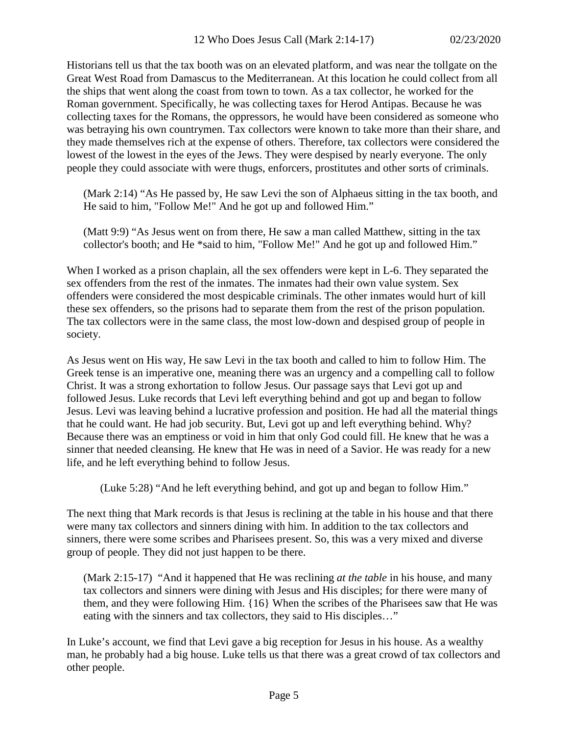Historians tell us that the tax booth was on an elevated platform, and was near the tollgate on the Great West Road from Damascus to the Mediterranean. At this location he could collect from all the ships that went along the coast from town to town. As a tax collector, he worked for the Roman government. Specifically, he was collecting taxes for Herod Antipas. Because he was collecting taxes for the Romans, the oppressors, he would have been considered as someone who was betraying his own countrymen. Tax collectors were known to take more than their share, and they made themselves rich at the expense of others. Therefore, tax collectors were considered the lowest of the lowest in the eyes of the Jews. They were despised by nearly everyone. The only people they could associate with were thugs, enforcers, prostitutes and other sorts of criminals.

(Mark 2:14) "As He passed by, He saw Levi the son of Alphaeus sitting in the tax booth, and He said to him, "Follow Me!" And he got up and followed Him."

(Matt 9:9) "As Jesus went on from there, He saw a man called Matthew, sitting in the tax collector's booth; and He \*said to him, "Follow Me!" And he got up and followed Him."

When I worked as a prison chaplain, all the sex offenders were kept in L-6. They separated the sex offenders from the rest of the inmates. The inmates had their own value system. Sex offenders were considered the most despicable criminals. The other inmates would hurt of kill these sex offenders, so the prisons had to separate them from the rest of the prison population. The tax collectors were in the same class, the most low-down and despised group of people in society.

As Jesus went on His way, He saw Levi in the tax booth and called to him to follow Him. The Greek tense is an imperative one, meaning there was an urgency and a compelling call to follow Christ. It was a strong exhortation to follow Jesus. Our passage says that Levi got up and followed Jesus. Luke records that Levi left everything behind and got up and began to follow Jesus. Levi was leaving behind a lucrative profession and position. He had all the material things that he could want. He had job security. But, Levi got up and left everything behind. Why? Because there was an emptiness or void in him that only God could fill. He knew that he was a sinner that needed cleansing. He knew that He was in need of a Savior. He was ready for a new life, and he left everything behind to follow Jesus.

(Luke 5:28) "And he left everything behind, and got up and began to follow Him."

The next thing that Mark records is that Jesus is reclining at the table in his house and that there were many tax collectors and sinners dining with him. In addition to the tax collectors and sinners, there were some scribes and Pharisees present. So, this was a very mixed and diverse group of people. They did not just happen to be there.

(Mark 2:15-17) "And it happened that He was reclining *at the table* in his house, and many tax collectors and sinners were dining with Jesus and His disciples; for there were many of them, and they were following Him. {16} When the scribes of the Pharisees saw that He was eating with the sinners and tax collectors, they said to His disciples…"

In Luke's account, we find that Levi gave a big reception for Jesus in his house. As a wealthy man, he probably had a big house. Luke tells us that there was a great crowd of tax collectors and other people.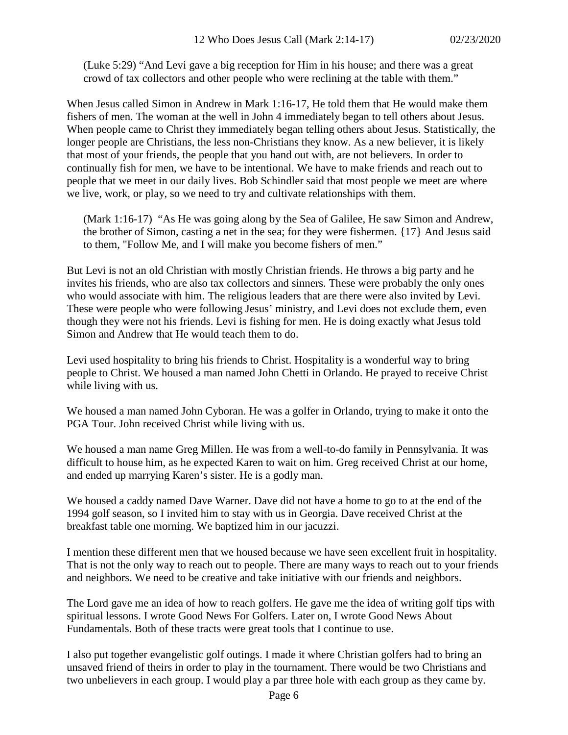(Luke 5:29) "And Levi gave a big reception for Him in his house; and there was a great crowd of tax collectors and other people who were reclining at the table with them."

When Jesus called Simon in Andrew in Mark 1:16-17, He told them that He would make them fishers of men. The woman at the well in John 4 immediately began to tell others about Jesus. When people came to Christ they immediately began telling others about Jesus. Statistically, the longer people are Christians, the less non-Christians they know. As a new believer, it is likely that most of your friends, the people that you hand out with, are not believers. In order to continually fish for men, we have to be intentional. We have to make friends and reach out to people that we meet in our daily lives. Bob Schindler said that most people we meet are where we live, work, or play, so we need to try and cultivate relationships with them.

(Mark 1:16-17) "As He was going along by the Sea of Galilee, He saw Simon and Andrew, the brother of Simon, casting a net in the sea; for they were fishermen. {17} And Jesus said to them, "Follow Me, and I will make you become fishers of men."

But Levi is not an old Christian with mostly Christian friends. He throws a big party and he invites his friends, who are also tax collectors and sinners. These were probably the only ones who would associate with him. The religious leaders that are there were also invited by Levi. These were people who were following Jesus' ministry, and Levi does not exclude them, even though they were not his friends. Levi is fishing for men. He is doing exactly what Jesus told Simon and Andrew that He would teach them to do.

Levi used hospitality to bring his friends to Christ. Hospitality is a wonderful way to bring people to Christ. We housed a man named John Chetti in Orlando. He prayed to receive Christ while living with us.

We housed a man named John Cyboran. He was a golfer in Orlando, trying to make it onto the PGA Tour. John received Christ while living with us.

We housed a man name Greg Millen. He was from a well-to-do family in Pennsylvania. It was difficult to house him, as he expected Karen to wait on him. Greg received Christ at our home, and ended up marrying Karen's sister. He is a godly man.

We housed a caddy named Dave Warner. Dave did not have a home to go to at the end of the 1994 golf season, so I invited him to stay with us in Georgia. Dave received Christ at the breakfast table one morning. We baptized him in our jacuzzi.

I mention these different men that we housed because we have seen excellent fruit in hospitality. That is not the only way to reach out to people. There are many ways to reach out to your friends and neighbors. We need to be creative and take initiative with our friends and neighbors.

The Lord gave me an idea of how to reach golfers. He gave me the idea of writing golf tips with spiritual lessons. I wrote Good News For Golfers. Later on, I wrote Good News About Fundamentals. Both of these tracts were great tools that I continue to use.

I also put together evangelistic golf outings. I made it where Christian golfers had to bring an unsaved friend of theirs in order to play in the tournament. There would be two Christians and two unbelievers in each group. I would play a par three hole with each group as they came by.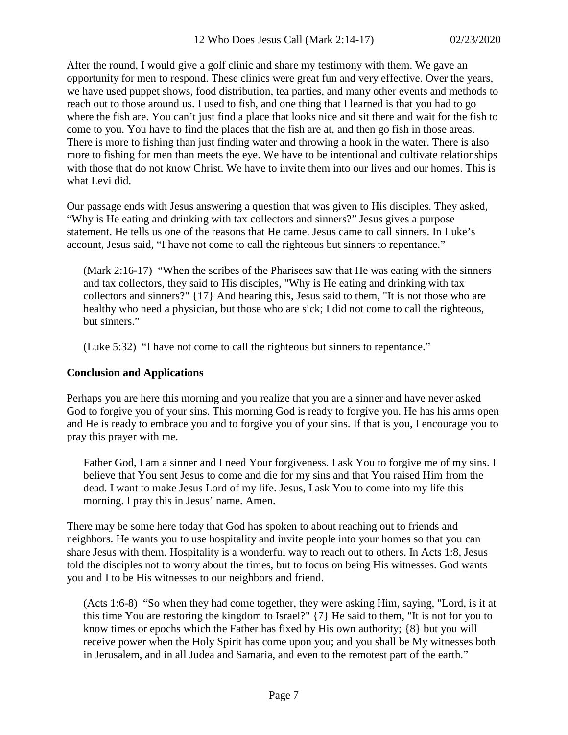After the round, I would give a golf clinic and share my testimony with them. We gave an opportunity for men to respond. These clinics were great fun and very effective. Over the years, we have used puppet shows, food distribution, tea parties, and many other events and methods to reach out to those around us. I used to fish, and one thing that I learned is that you had to go where the fish are. You can't just find a place that looks nice and sit there and wait for the fish to come to you. You have to find the places that the fish are at, and then go fish in those areas. There is more to fishing than just finding water and throwing a hook in the water. There is also more to fishing for men than meets the eye. We have to be intentional and cultivate relationships with those that do not know Christ. We have to invite them into our lives and our homes. This is what Levi did.

Our passage ends with Jesus answering a question that was given to His disciples. They asked, "Why is He eating and drinking with tax collectors and sinners?" Jesus gives a purpose statement. He tells us one of the reasons that He came. Jesus came to call sinners. In Luke's account, Jesus said, "I have not come to call the righteous but sinners to repentance."

(Mark 2:16-17) "When the scribes of the Pharisees saw that He was eating with the sinners and tax collectors, they said to His disciples, "Why is He eating and drinking with tax collectors and sinners?" {17} And hearing this, Jesus said to them, "It is not those who are healthy who need a physician, but those who are sick; I did not come to call the righteous, but sinners."

(Luke 5:32) "I have not come to call the righteous but sinners to repentance."

#### **Conclusion and Applications**

Perhaps you are here this morning and you realize that you are a sinner and have never asked God to forgive you of your sins. This morning God is ready to forgive you. He has his arms open and He is ready to embrace you and to forgive you of your sins. If that is you, I encourage you to pray this prayer with me.

Father God, I am a sinner and I need Your forgiveness. I ask You to forgive me of my sins. I believe that You sent Jesus to come and die for my sins and that You raised Him from the dead. I want to make Jesus Lord of my life. Jesus, I ask You to come into my life this morning. I pray this in Jesus' name. Amen.

There may be some here today that God has spoken to about reaching out to friends and neighbors. He wants you to use hospitality and invite people into your homes so that you can share Jesus with them. Hospitality is a wonderful way to reach out to others. In Acts 1:8, Jesus told the disciples not to worry about the times, but to focus on being His witnesses. God wants you and I to be His witnesses to our neighbors and friend.

(Acts 1:6-8) "So when they had come together, they were asking Him, saying, "Lord, is it at this time You are restoring the kingdom to Israel?" {7} He said to them, "It is not for you to know times or epochs which the Father has fixed by His own authority; {8} but you will receive power when the Holy Spirit has come upon you; and you shall be My witnesses both in Jerusalem, and in all Judea and Samaria, and even to the remotest part of the earth."